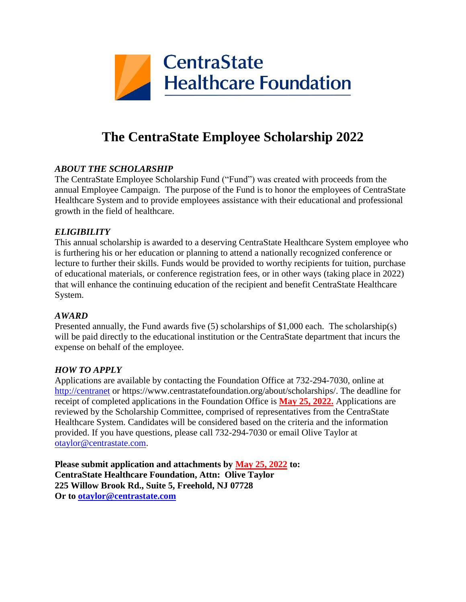

# **The CentraState Employee Scholarship 2022**

### *ABOUT THE SCHOLARSHIP*

The CentraState Employee Scholarship Fund ("Fund") was created with proceeds from the annual Employee Campaign. The purpose of the Fund is to honor the employees of CentraState Healthcare System and to provide employees assistance with their educational and professional growth in the field of healthcare.

### *ELIGIBILITY*

This annual scholarship is awarded to a deserving CentraState Healthcare System employee who is furthering his or her education or planning to attend a nationally recognized conference or lecture to further their skills. Funds would be provided to worthy recipients for tuition, purchase of educational materials, or conference registration fees, or in other ways (taking place in 2022) that will enhance the continuing education of the recipient and benefit CentraState Healthcare System.

#### *AWARD*

Presented annually, the Fund awards five (5) scholarships of \$1,000 each. The scholarship(s) will be paid directly to the educational institution or the CentraState department that incurs the expense on behalf of the employee.

#### *HOW TO APPLY*

Applications are available by contacting the Foundation Office at 732-294-7030, online at [http://centranet](http://centranet/) or https://www.centrastatefoundation.org/about/scholarships/. The deadline for receipt of completed applications in the Foundation Office is **May 25, 2022.** Applications are reviewed by the Scholarship Committee, comprised of representatives from the CentraState Healthcare System. Candidates will be considered based on the criteria and the information provided. If you have questions, please call 732-294-7030 or email Olive Taylor at [otaylor@centrastate.com.](mailto:otaylor@centrastate.com)

**Please submit application and attachments by May 25, 2022 to: CentraState Healthcare Foundation, Attn: Olive Taylor 225 Willow Brook Rd., Suite 5, Freehold, NJ 07728 Or to [otaylor@centrastate.com](mailto:otaylor@centrastate.com)**